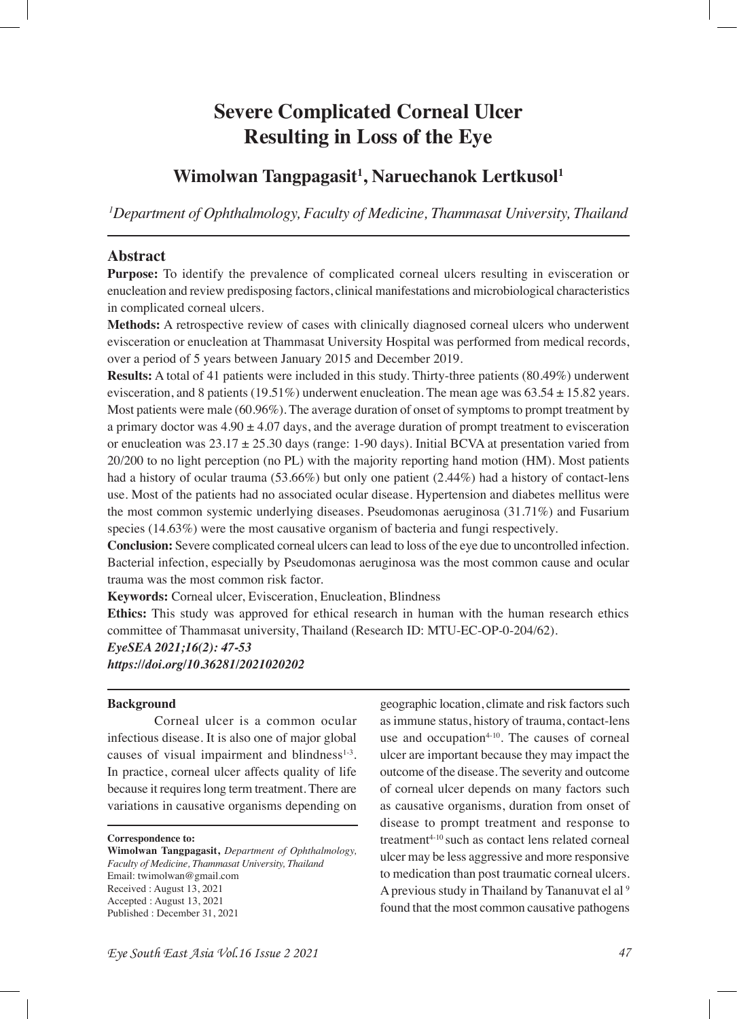# **Severe Complicated Corneal Ulcer Resulting in Loss of the Eye**

## **Wimolwan Tangpagasit1 , Naruechanok Lertkusol1**

*1 Department of Ophthalmology, Faculty of Medicine, Thammasat University, Thailand*

### **Abstract**

**Purpose:** To identify the prevalence of complicated corneal ulcers resulting in evisceration or enucleation and review predisposing factors, clinical manifestations and microbiological characteristics in complicated corneal ulcers.

**Methods:** A retrospective review of cases with clinically diagnosed corneal ulcers who underwent evisceration or enucleation at Thammasat University Hospital was performed from medical records, over a period of 5 years between January 2015 and December 2019.

**Results:** A total of 41 patients were included in this study. Thirty-three patients (80.49%) underwent evisceration, and 8 patients (19.51%) underwent enucleation. The mean age was  $63.54 \pm 15.82$  years. Most patients were male (60.96%). The average duration of onset of symptoms to prompt treatment by a primary doctor was  $4.90 \pm 4.07$  days, and the average duration of prompt treatment to evisceration or enucleation was  $23.17 \pm 25.30$  days (range: 1-90 days). Initial BCVA at presentation varied from 20/200 to no light perception (no PL) with the majority reporting hand motion (HM). Most patients had a history of ocular trauma (53.66%) but only one patient (2.44%) had a history of contact-lens use. Most of the patients had no associated ocular disease. Hypertension and diabetes mellitus were the most common systemic underlying diseases. Pseudomonas aeruginosa (31.71%) and Fusarium species (14.63%) were the most causative organism of bacteria and fungi respectively.

**Conclusion:** Severe complicated corneal ulcers can lead to loss of the eye due to uncontrolled infection. Bacterial infection, especially by Pseudomonas aeruginosa was the most common cause and ocular trauma was the most common risk factor.

**Keywords:** Corneal ulcer, Evisceration, Enucleation, Blindness

**Ethics:** This study was approved for ethical research in human with the human research ethics committee of Thammasat university, Thailand (Research ID: MTU-EC-OP-0-204/62).

*EyeSEA 2021;16(2): 47-53*

*https://doi.org/10.36281/2021020202*

#### **Background**

Corneal ulcer is a common ocular infectious disease. It is also one of major global causes of visual impairment and blindness $1-3$ . In practice, corneal ulcer affects quality of life because it requires long term treatment. There are variations in causative organisms depending on

**Correspondence to:**

**Wimolwan Tangpagasit,** *Department of Ophthalmology, Faculty of Medicine, Thammasat University, Thailand* Email: twimolwan@gmail.com Received : August 13, 2021 Accepted : August 13, 2021 Published : December 31, 2021

geographic location, climate and risk factors such as immune status, history of trauma, contact-lens use and occupation<sup>4-10</sup>. The causes of corneal ulcer are important because they may impact the outcome of the disease. The severity and outcome of corneal ulcer depends on many factors such as causative organisms, duration from onset of disease to prompt treatment and response to treatment<sup>4-10</sup> such as contact lens related corneal ulcer may be less aggressive and more responsive to medication than post traumatic corneal ulcers. A previous study in Thailand by Tananuvat el al<sup>9</sup> found that the most common causative pathogens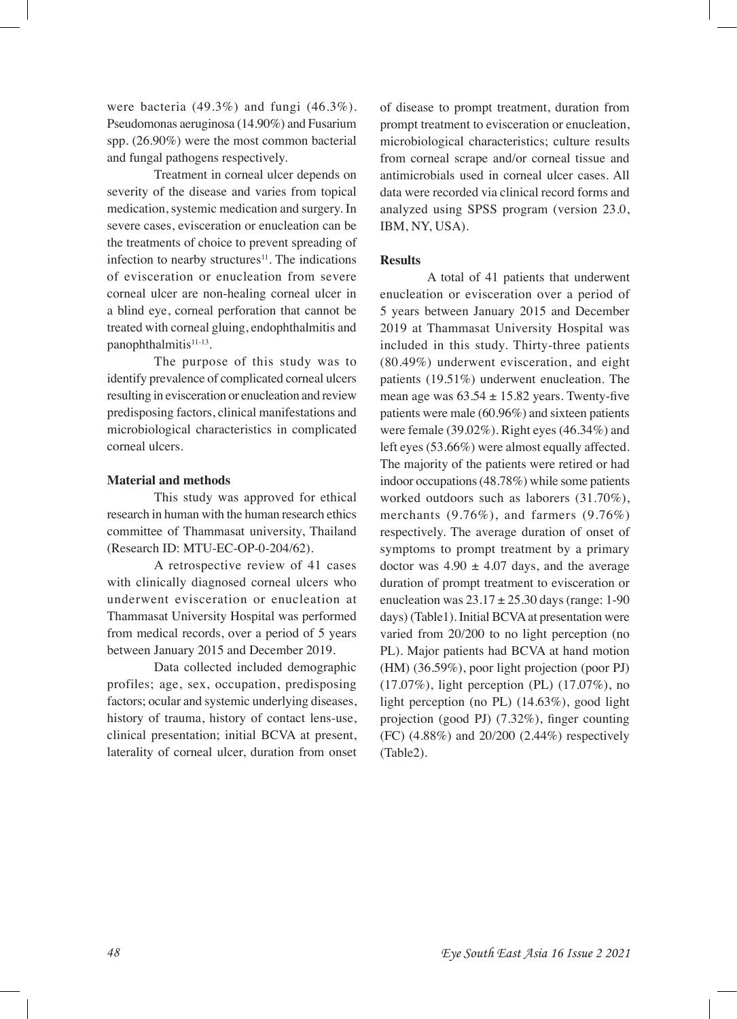were bacteria (49.3%) and fungi (46.3%). Pseudomonas aeruginosa (14.90%) and Fusarium spp. (26.90%) were the most common bacterial and fungal pathogens respectively.

Treatment in corneal ulcer depends on severity of the disease and varies from topical medication, systemic medication and surgery. In severe cases, evisceration or enucleation can be the treatments of choice to prevent spreading of infection to nearby structures $11$ . The indications of evisceration or enucleation from severe corneal ulcer are non-healing corneal ulcer in a blind eye, corneal perforation that cannot be treated with corneal gluing, endophthalmitis and panophthalmitis<sup>11-13</sup>.

The purpose of this study was to identify prevalence of complicated corneal ulcers resulting in evisceration or enucleation and review predisposing factors, clinical manifestations and microbiological characteristics in complicated corneal ulcers.

#### **Material and methods**

This study was approved for ethical research in human with the human research ethics committee of Thammasat university, Thailand (Research ID: MTU-EC-OP-0-204/62).

A retrospective review of 41 cases with clinically diagnosed corneal ulcers who underwent evisceration or enucleation at Thammasat University Hospital was performed from medical records, over a period of 5 years between January 2015 and December 2019.

Data collected included demographic profiles; age, sex, occupation, predisposing factors; ocular and systemic underlying diseases, history of trauma, history of contact lens-use, clinical presentation; initial BCVA at present, laterality of corneal ulcer, duration from onset

of disease to prompt treatment, duration from prompt treatment to evisceration or enucleation, microbiological characteristics; culture results from corneal scrape and/or corneal tissue and antimicrobials used in corneal ulcer cases. All data were recorded via clinical record forms and analyzed using SPSS program (version 23.0, IBM, NY, USA).

#### **Results**

A total of 41 patients that underwent enucleation or evisceration over a period of 5 years between January 2015 and December 2019 at Thammasat University Hospital was included in this study. Thirty-three patients (80.49%) underwent evisceration, and eight patients (19.51%) underwent enucleation. The mean age was  $63.54 \pm 15.82$  years. Twenty-five patients were male (60.96%) and sixteen patients were female (39.02%). Right eyes (46.34%) and left eyes (53.66%) were almost equally affected. The majority of the patients were retired or had indoor occupations (48.78%) while some patients worked outdoors such as laborers (31.70%), merchants (9.76%), and farmers (9.76%) respectively. The average duration of onset of symptoms to prompt treatment by a primary doctor was  $4.90 \pm 4.07$  days, and the average duration of prompt treatment to evisceration or enucleation was  $23.17 \pm 25.30$  days (range: 1-90 days) (Table1). Initial BCVA at presentation were varied from 20/200 to no light perception (no PL). Major patients had BCVA at hand motion (HM) (36.59%), poor light projection (poor PJ) (17.07%), light perception (PL) (17.07%), no light perception (no PL) (14.63%), good light projection (good PJ) (7.32%), fnger counting (FC) (4.88%) and 20/200 (2.44%) respectively (Table2).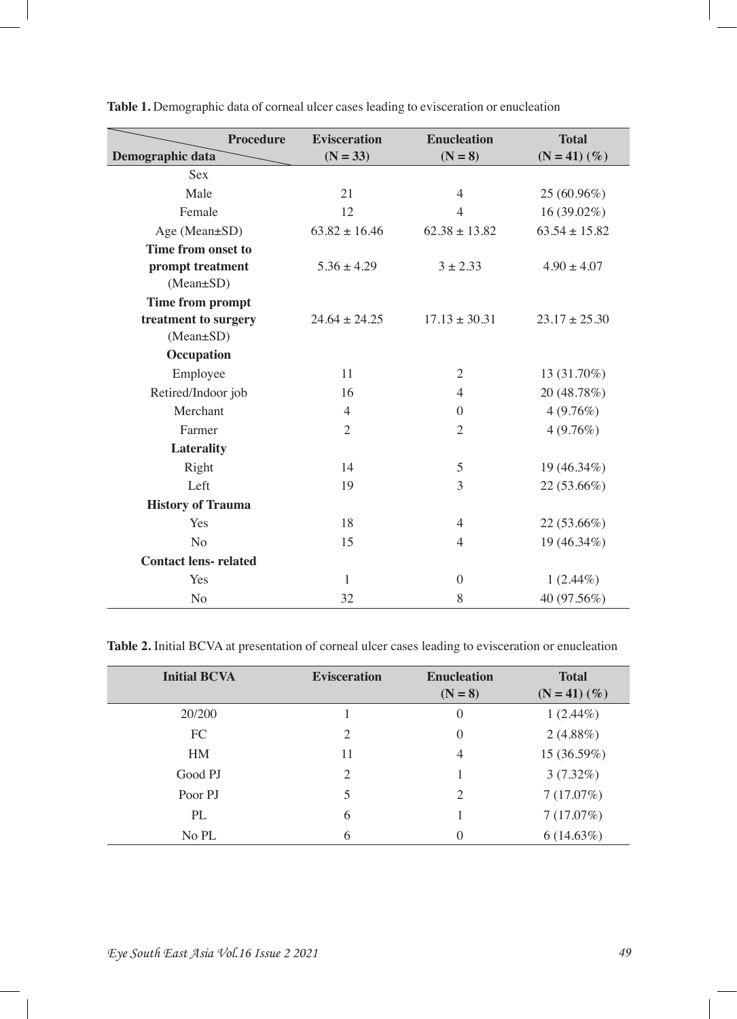| <b>Procedure</b>            | <b>Evisceration</b> | <b>Enucleation</b> | <b>Total</b>      |
|-----------------------------|---------------------|--------------------|-------------------|
| Demographic data            | $(N = 33)$          | $(N=8)$            | $(N = 41)$ $(\%)$ |
| <b>Sex</b>                  |                     |                    |                   |
| Male                        | 21                  | $\overline{4}$     | 25 (60.96%)       |
| Female                      | 12                  | $\overline{4}$     | 16 (39.02%)       |
| Age (Mean±SD)               | $63.82 \pm 16.46$   | $62.38 \pm 13.82$  | $63.54 \pm 15.82$ |
| Time from onset to          |                     |                    |                   |
| prompt treatment            | $5.36 \pm 4.29$     | $3 + 2.33$         | $4.90 \pm 4.07$   |
| $(Mean \pm SD)$             |                     |                    |                   |
| Time from prompt            |                     |                    |                   |
| treatment to surgery        | $24.64 \pm 24.25$   | $17.13 \pm 30.31$  | $23.17 \pm 25.30$ |
| $(Mean \pm SD)$             |                     |                    |                   |
| Occupation                  |                     |                    |                   |
| Employee                    | 11                  | 2                  | 13 (31.70%)       |
| Retired/Indoor job          | 16                  | $\overline{4}$     | 20 (48.78%)       |
| Merchant                    | $\overline{4}$      | $\theta$           | $4(9.76\%)$       |
| Farmer                      | $\overline{2}$      | $\overline{2}$     | 4(9.76%)          |
| Laterality                  |                     |                    |                   |
| Right                       | 14                  | 5                  | 19 $(46.34\%)$    |
| Left                        | 19                  | 3                  | 22 (53.66%)       |
| <b>History of Trauma</b>    |                     |                    |                   |
| Yes                         | 18                  | 4                  | 22 (53.66%)       |
| No                          | 15                  | $\overline{4}$     | 19 (46.34%)       |
| <b>Contact lens-related</b> |                     |                    |                   |
| Yes                         | 1                   | $\theta$           | $1(2.44\%)$       |
| N <sub>o</sub>              | 32                  | 8                  | 40 (97.56%)       |

**Table 1.** Demographic data of corneal ulcer cases leading to evisceration or enucleation

**Table 2.** Initial BCVA at presentation of corneal ulcer cases leading to evisceration or enucleation

| <b>Initial BCVA</b> | <b>Evisceration</b> | <b>Enucleation</b><br>$(N = 8)$ | <b>Total</b><br>$(N = 41)$ $(\%)$ |
|---------------------|---------------------|---------------------------------|-----------------------------------|
| 20/200              |                     | $\overline{0}$                  | $1(2.44\%)$                       |
| FC                  | $\overline{2}$      | $\theta$                        | $2(4.88\%)$                       |
| HM                  | 11                  | $\overline{4}$                  | 15 (36.59%)                       |
| Good PJ             | 2                   |                                 | $3(7.32\%)$                       |
| Poor PJ             | 5                   | $\overline{2}$                  | 7(17.07%)                         |
| PL                  | 6                   |                                 | 7(17.07%)                         |
| No PL               | 6                   | 0                               | $6(14.63\%)$                      |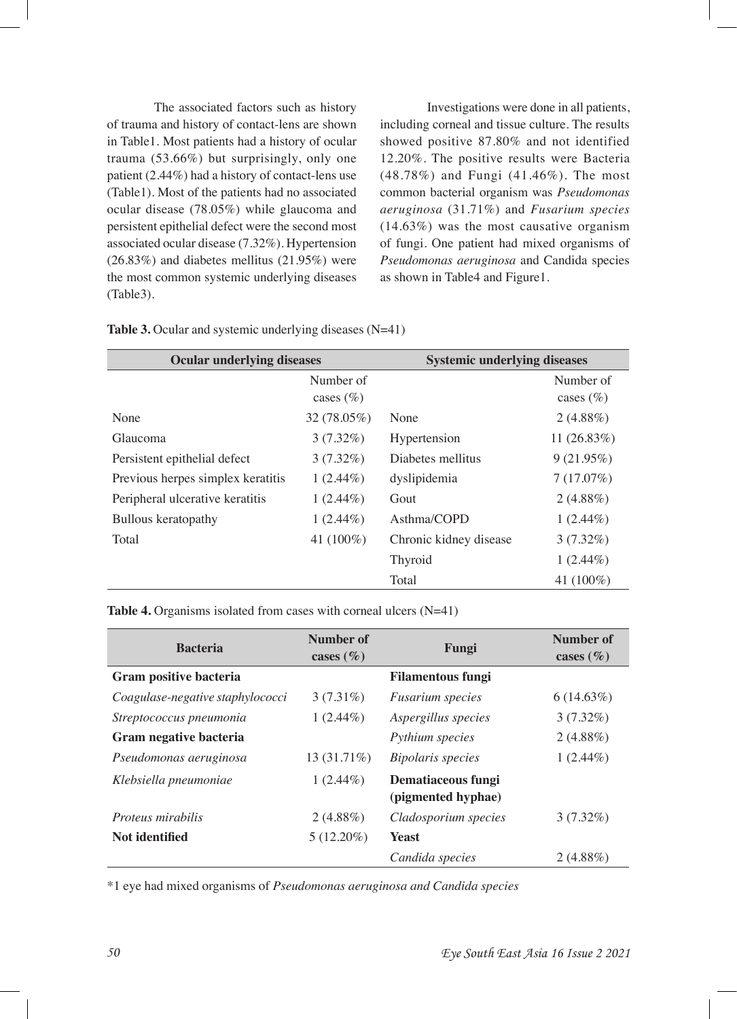The associated factors such as history of trauma and history of contact-lens are shown in Table1. Most patients had a history of ocular trauma (53.66%) but surprisingly, only one patient (2.44%) had a history of contact-lens use (Table1). Most of the patients had no associated ocular disease (78.05%) while glaucoma and persistent epithelial defect were the second most associated ocular disease (7.32%). Hypertension  $(26.83%)$  and diabetes mellitus  $(21.95%)$  were the most common systemic underlying diseases (Table3).

Investigations were done in all patients, including corneal and tissue culture. The results showed positive 87.80% and not identified 12.20%. The positive results were Bacteria (48.78%) and Fungi (41.46%). The most common bacterial organism was *Pseudomonas aeruginosa* (31.71%) and *Fusarium species*  (14.63%) was the most causative organism of fungi. One patient had mixed organisms of *Pseudomonas aeruginosa* and Candida species as shown in Table4 and Figure1.

| <b>Ocular underlying diseases</b> |                            | <b>Systemic underlying diseases</b> |                            |
|-----------------------------------|----------------------------|-------------------------------------|----------------------------|
|                                   | Number of<br>cases $(\% )$ |                                     | Number of<br>cases $(\% )$ |
| None                              | 32 (78.05%)                | None                                | $2(4.88\%)$                |
| <b>Glaucoma</b>                   | $3(7.32\%)$                | Hypertension                        | 11 $(26.83\%)$             |
| Persistent epithelial defect      | $3(7.32\%)$                | Diabetes mellitus                   | 9(21.95%)                  |
| Previous herpes simplex keratitis | $1(2.44\%)$                | dyslipidemia                        | 7(17.07%)                  |
| Peripheral ulcerative keratitis   | $1(2.44\%)$                | Gout                                | $2(4.88\%)$                |
| Bullous keratopathy               | $1(2.44\%)$                | Asthma/CDPD                         | $1(2.44\%)$                |
| Total                             | 41 $(100\%)$               | Chronic kidney disease              | $3(7.32\%)$                |
|                                   |                            | Thyroid                             | $1(2.44\%)$                |
|                                   |                            | Total                               | 41 (100%)                  |

**Table 3.** Ocular and systemic underlying diseases (N=41)

Table 4. Organisms isolated from cases with corneal ulcers (N=41)

| <b>Bacteria</b>                  | Number of<br>cases $(\% )$ | Fungi                                    | Number of<br>cases $(\% )$ |
|----------------------------------|----------------------------|------------------------------------------|----------------------------|
| Gram positive bacteria           |                            | <b>Filamentous fungi</b>                 |                            |
| Coagulase-negative staphylococci | $3(7.31\%)$                | <b>Fusarium</b> species                  | $6(14.63\%)$               |
| Streptococcus pneumonia          | $1(2.44\%)$                | Aspergillus species                      | $3(7.32\%)$                |
| Gram negative bacteria           |                            | Pythium species                          | $2(4.88\%)$                |
| Pseudomonas aeruginosa           | $13(31.71\%)$              | <i>Bipolaris species</i>                 | $1(2.44\%)$                |
| Klebsiella pneumoniae            | $1(2.44\%)$                | Dematiaceous fungi<br>(pigmented hyphae) |                            |
| <i>Proteus mirabilis</i>         | $2(4.88\%)$                | Cladosporium species                     | $3(7.32\%)$                |
| Not identified                   | $5(12.20\%)$               | Yeast                                    |                            |
|                                  |                            | Candida species                          | $2(4.88\%)$                |

\*1 eye had mixed organisms of *Pseudomonas aeruginosa and Candida species*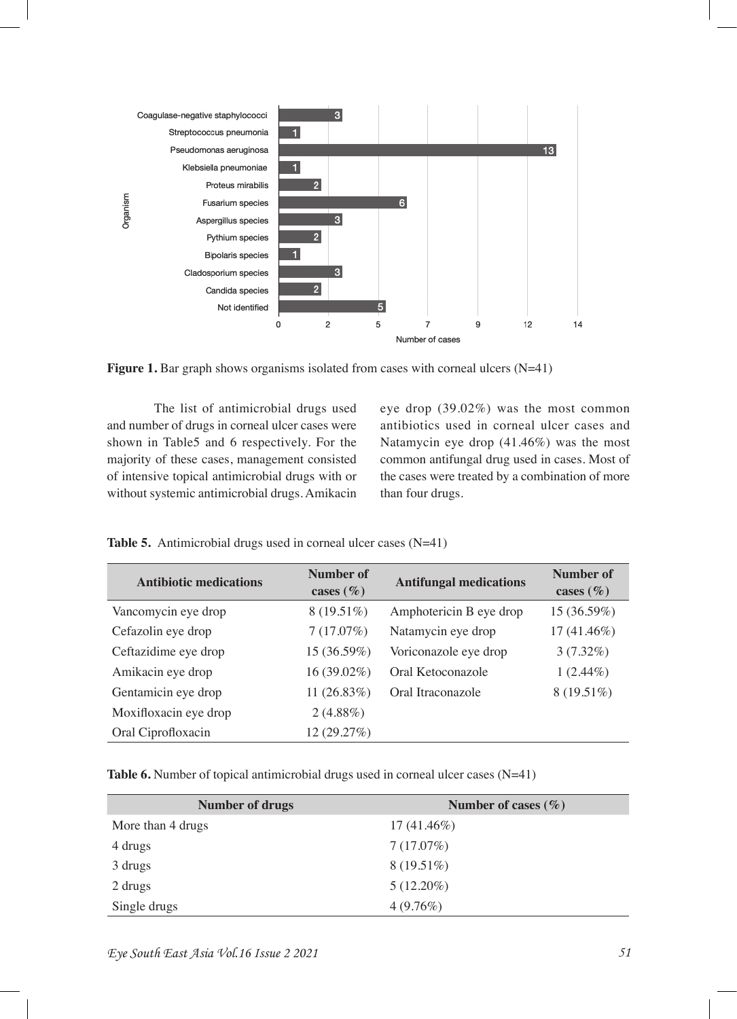

Figure 1. Bar graph shows organisms isolated from cases with corneal ulcers (N=41)

The list of antimicrobial drugs used and number of drugs in corneal ulcer cases were shown in Table5 and 6 respectively. For the majority of these cases, management consisted of intensive topical antimicrobial drugs with or without systemic antimicrobial drugs. Amikacin eye drop (39.02%) was the most common antibiotics used in corneal ulcer cases and Natamycin eye drop (41.46%) was the most common antifungal drug used in cases. Most of the cases were treated by a combination of more than four drugs.

**Table 5.** Antimicrobial drugs used in corneal ulcer cases (N=41)

| <b>Antibiotic medications</b> | Number of<br>cases $(\% )$ | <b>Antifungal medications</b> | Number of<br>cases $(\% )$ |
|-------------------------------|----------------------------|-------------------------------|----------------------------|
| Vancomycin eye drop           | 8 (19.51%)                 | Amphotericin B eye drop       | 15 (36.59%)                |
| Cefazolin eye drop            | 7(17.07%)                  | Natamycin eye drop            | $17(41.46\%)$              |
| Ceftazidime eye drop          | 15 (36.59%)                | Voriconazole eye drop         | $3(7.32\%)$                |
| Amikacin eye drop             | 16 (39.02%)                | Oral Ketoconazole             | $1(2.44\%)$                |
| Gentamicin eye drop           | 11(26.83%)                 | Oral Itraconazole             | $8(19.51\%)$               |
| Moxifloxacin eye drop         | $2(4.88\%)$                |                               |                            |
| Oral Ciprofloxacin            | 12 (29.27%)                |                               |                            |

|  |  | Table 6. Number of topical antimicrobial drugs used in corneal ulcer cases $(N=41)$ |
|--|--|-------------------------------------------------------------------------------------|
|--|--|-------------------------------------------------------------------------------------|

| <b>Number of drugs</b> | Number of cases $(\% )$ |
|------------------------|-------------------------|
| More than 4 drugs      | $17(41.46\%)$           |
| 4 drugs                | 7(17.07%)               |
| 3 drugs                | $8(19.51\%)$            |
| 2 drugs                | $5(12.20\%)$            |
| Single drugs           | 4(9.76%)                |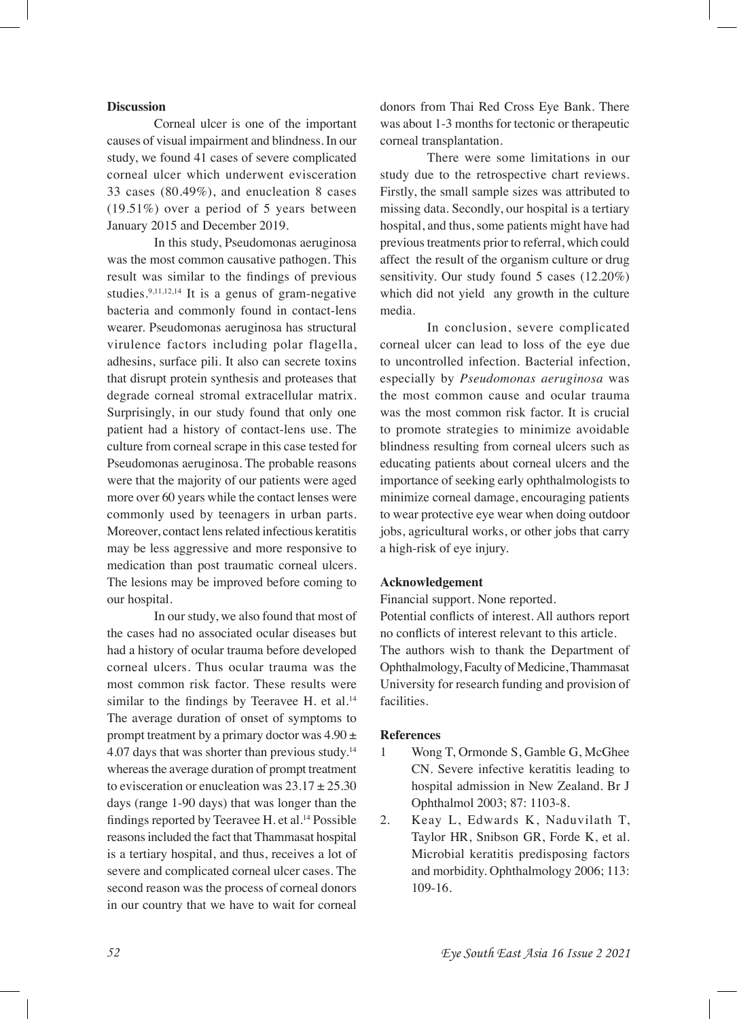#### **Discussion**

Corneal ulcer is one of the important causes of visual impairment and blindness. In our study, we found 41 cases of severe complicated corneal ulcer which underwent evisceration 33 cases (80.49%), and enucleation 8 cases (19.51%) over a period of 5 years between January 2015 and December 2019.

In this study, Pseudomonas aeruginosa was the most common causative pathogen. This result was similar to the fndings of previous studies.9,11,12,14 It is a genus of gram-negative bacteria and commonly found in contact-lens wearer. Pseudomonas aeruginosa has structural virulence factors including polar flagella, adhesins, surface pili. It also can secrete toxins that disrupt protein synthesis and proteases that degrade corneal stromal extracellular matrix. Surprisingly, in our study found that only one patient had a history of contact-lens use. The culture from corneal scrape in this case tested for Pseudomonas aeruginosa. The probable reasons were that the majority of our patients were aged more over 60 years while the contact lenses were commonly used by teenagers in urban parts. Moreover, contact lens related infectious keratitis may be less aggressive and more responsive to medication than post traumatic corneal ulcers. The lesions may be improved before coming to our hospital.

In our study, we also found that most of the cases had no associated ocular diseases but had a history of ocular trauma before developed corneal ulcers. Thus ocular trauma was the most common risk factor. These results were similar to the findings by Teeravee H. et al. $14$ The average duration of onset of symptoms to prompt treatment by a primary doctor was  $4.90 \pm$ 4.07 days that was shorter than previous study. $14$ whereas the average duration of prompt treatment to evisceration or enucleation was  $23.17 \pm 25.30$ days (range 1-90 days) that was longer than the fndings reported by Teeravee H. et al.14 Possible reasons included the fact that Thammasat hospital is a tertiary hospital, and thus, receives a lot of severe and complicated corneal ulcer cases. The second reason was the process of corneal donors in our country that we have to wait for corneal

donors from Thai Red Cross Eye Bank. There was about 1-3 months for tectonic or therapeutic corneal transplantation.

There were some limitations in our study due to the retrospective chart reviews. Firstly, the small sample sizes was attributed to missing data. Secondly, our hospital is a tertiary hospital, and thus, some patients might have had previous treatments prior to referral, which could affect the result of the organism culture or drug sensitivity. Our study found 5 cases (12.20%) which did not yield any growth in the culture media.

In conclusion, severe complicated corneal ulcer can lead to loss of the eye due to uncontrolled infection. Bacterial infection, especially by *Pseudomonas aeruginosa* was the most common cause and ocular trauma was the most common risk factor. It is crucial to promote strategies to minimize avoidable blindness resulting from corneal ulcers such as educating patients about corneal ulcers and the importance of seeking early ophthalmologists to minimize corneal damage, encouraging patients to wear protective eye wear when doing outdoor jobs, agricultural works, or other jobs that carry a high-risk of eye injury.

#### **Acknowledgement**

Financial support. None reported.

Potential conficts of interest. All authors report no conficts of interest relevant to this article. The authors wish to thank the Department of Ophthalmology, Faculty of Medicine, Thammasat University for research funding and provision of facilities.

#### **References**

- 1 Wong T, Ormonde S, Gamble G, McGhee CN. Severe infective keratitis leading to hospital admission in New Zealand. Br J Ophthalmol 2003; 87: 1103-8.
- 2. Keay L, Edwards K, Naduvilath T, Taylor HR, Snibson GR, Forde K, et al. Microbial keratitis predisposing factors and morbidity. Ophthalmology 2006; 113: 109-16.